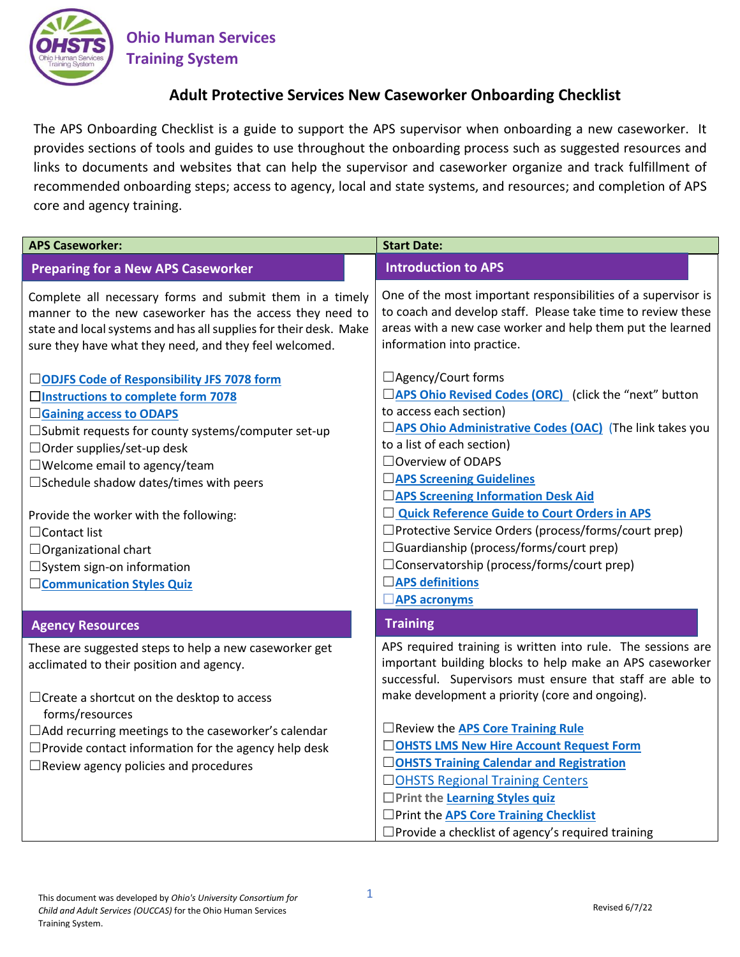

**Ohio Human Services Training System**

## **Adult Protective Services New Caseworker Onboarding Checklist**

The APS Onboarding Checklist is a guide to support the APS supervisor when onboarding a new caseworker. It provides sections of tools and guides to use throughout the onboarding process such as suggested resources and links to documents and websites that can help the supervisor and caseworker organize and track fulfillment of recommended onboarding steps; access to agency, local and state systems, and resources; and completion of APS core and agency training.

| <b>APS Caseworker:</b>                                                                                                                                                                                                                                                                                                                                                                                                                                             | <b>Start Date:</b>                                                                                                                                                                                                                                                                                                                                                                                                                                                                                                                                              |
|--------------------------------------------------------------------------------------------------------------------------------------------------------------------------------------------------------------------------------------------------------------------------------------------------------------------------------------------------------------------------------------------------------------------------------------------------------------------|-----------------------------------------------------------------------------------------------------------------------------------------------------------------------------------------------------------------------------------------------------------------------------------------------------------------------------------------------------------------------------------------------------------------------------------------------------------------------------------------------------------------------------------------------------------------|
| <b>Preparing for a New APS Caseworker</b>                                                                                                                                                                                                                                                                                                                                                                                                                          | <b>Introduction to APS</b>                                                                                                                                                                                                                                                                                                                                                                                                                                                                                                                                      |
| Complete all necessary forms and submit them in a timely<br>manner to the new caseworker has the access they need to<br>state and local systems and has all supplies for their desk. Make<br>sure they have what they need, and they feel welcomed.                                                                                                                                                                                                                | One of the most important responsibilities of a supervisor is<br>to coach and develop staff. Please take time to review these<br>areas with a new case worker and help them put the learned<br>information into practice.                                                                                                                                                                                                                                                                                                                                       |
| □ODJFS Code of Responsibility JFS 7078 form<br>□ Instructions to complete form 7078<br><b>Saining access to ODAPS</b><br>□ Submit requests for county systems/computer set-up<br>□ Order supplies/set-up desk<br>$\square$ Welcome email to agency/team<br>□ Schedule shadow dates/times with peers<br>Provide the worker with the following:<br>$\Box$ Contact list<br>$\Box$ Organizational chart<br>□ System sign-on information<br>□ Communication Styles Quiz | □ Agency/Court forms<br>□ APS Ohio Revised Codes (ORC) (click the "next" button<br>to access each section)<br>□ APS Ohio Administrative Codes (OAC) (The link takes you<br>to a list of each section)<br>□ Overview of ODAPS<br><b>APS Screening Guidelines</b><br><b>TAPS Screening Information Desk Aid</b><br>Quick Reference Guide to Court Orders in APS<br>□Protective Service Orders (process/forms/court prep)<br>$\Box$ Guardianship (process/forms/court prep)<br>$\Box$ Conservatorship (process/forms/court prep)<br>□ APS definitions              |
|                                                                                                                                                                                                                                                                                                                                                                                                                                                                    | $\Box$ APS acronyms<br><b>Training</b>                                                                                                                                                                                                                                                                                                                                                                                                                                                                                                                          |
| <b>Agency Resources</b><br>These are suggested steps to help a new caseworker get<br>acclimated to their position and agency.<br>$\Box$ Create a shortcut on the desktop to access<br>forms/resources<br>□ Add recurring meetings to the caseworker's calendar<br>$\Box$ Provide contact information for the agency help desk<br>$\Box$ Review agency policies and procedures                                                                                      | APS required training is written into rule. The sessions are<br>important building blocks to help make an APS caseworker<br>successful. Supervisors must ensure that staff are able to<br>make development a priority (core and ongoing).<br>□ Review the <b>APS Core Training Rule</b><br>□OHSTS LMS New Hire Account Request Form<br>□OHSTS Training Calendar and Registration<br>□OHSTS Regional Training Centers<br>□ Print the Learning Styles quiz<br>□ Print the APS Core Training Checklist<br>$\Box$ Provide a checklist of agency's required training |